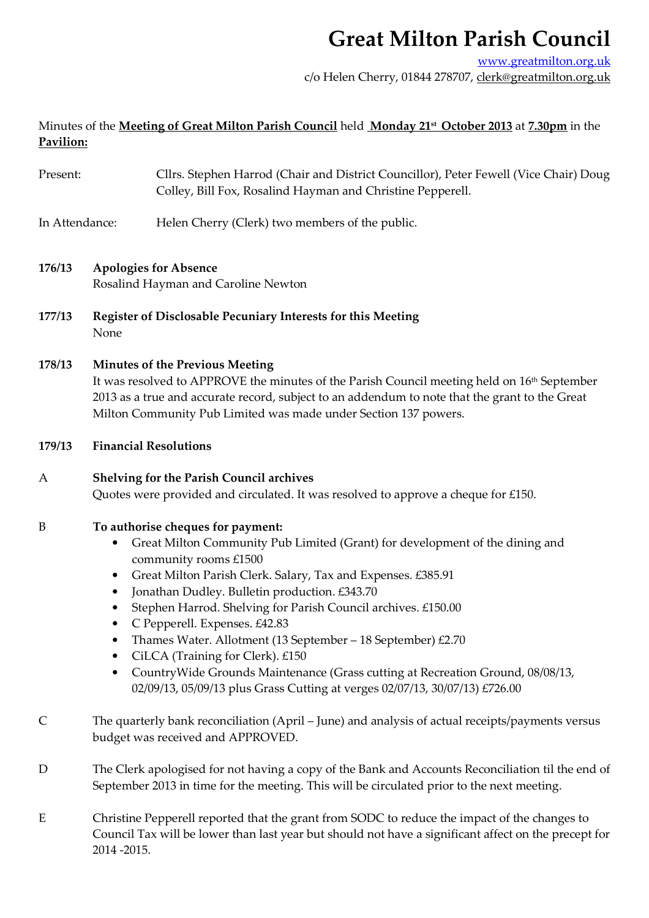www.greatmilton.org.uk

c/o Helen Cherry, 01844 278707, clerk@greatmilton.org.uk

## Minutes of the **Meeting of Great Milton Parish Council** held **Monday 21st October 2013** at **7.30pm** in the **Pavilion:**

| Present: | Cllrs. Stephen Harrod (Chair and District Councillor), Peter Fewell (Vice Chair) Doug |
|----------|---------------------------------------------------------------------------------------|
|          | Colley, Bill Fox, Rosalind Hayman and Christine Pepperell.                            |

- In Attendance: Helen Cherry (Clerk) two members of the public.
- **176/13 Apologies for Absence**  Rosalind Hayman and Caroline Newton
- **177/13 Register of Disclosable Pecuniary Interests for this Meeting**  None

## **178/13 Minutes of the Previous Meeting**

It was resolved to APPROVE the minutes of the Parish Council meeting held on 16<sup>th</sup> September 2013 as a true and accurate record, subject to an addendum to note that the grant to the Great Milton Community Pub Limited was made under Section 137 powers.

**179/13 Financial Resolutions** 

## A **Shelving for the Parish Council archives** Quotes were provided and circulated. It was resolved to approve a cheque for £150.

## B **To authorise cheques for payment:**

- Great Milton Community Pub Limited (Grant) for development of the dining and community rooms £1500
- Great Milton Parish Clerk. Salary, Tax and Expenses. £385.91
- Jonathan Dudley. Bulletin production. £343.70
- Stephen Harrod. Shelving for Parish Council archives. £150.00
- C Pepperell. Expenses. £42.83
- Thames Water. Allotment (13 September 18 September) £2.70
- CiLCA (Training for Clerk). £150
- CountryWide Grounds Maintenance (Grass cutting at Recreation Ground, 08/08/13, 02/09/13, 05/09/13 plus Grass Cutting at verges 02/07/13, 30/07/13) £726.00
- C The quarterly bank reconciliation (April June) and analysis of actual receipts/payments versus budget was received and APPROVED.
- D The Clerk apologised for not having a copy of the Bank and Accounts Reconciliation til the end of September 2013 in time for the meeting. This will be circulated prior to the next meeting.
- E Christine Pepperell reported that the grant from SODC to reduce the impact of the changes to Council Tax will be lower than last year but should not have a significant affect on the precept for 2014 -2015.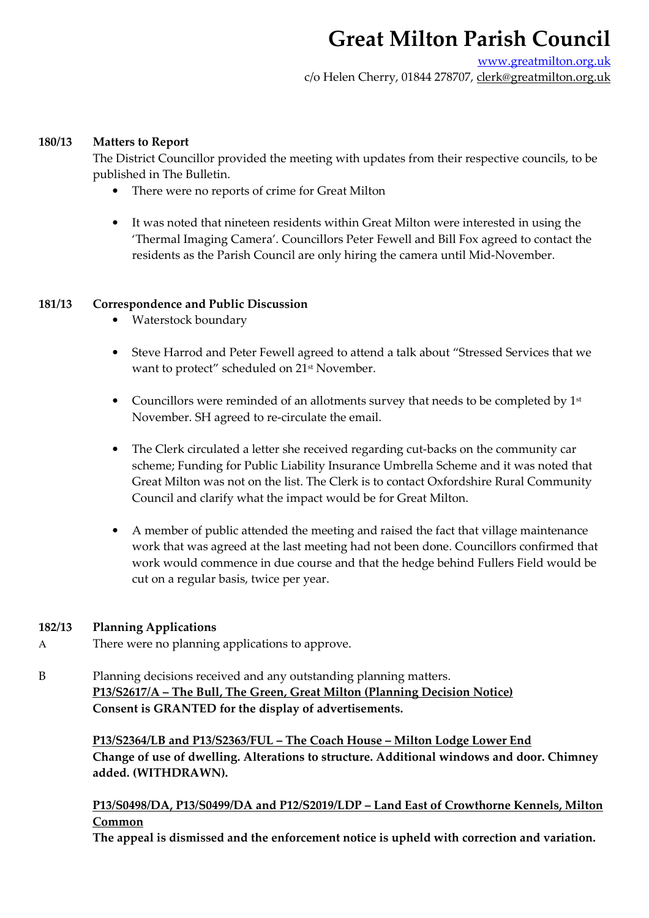www.greatmilton.org.uk c/o Helen Cherry, 01844 278707, clerk@greatmilton.org.uk

#### **180/13 Matters to Report**

The District Councillor provided the meeting with updates from their respective councils, to be published in The Bulletin.

- There were no reports of crime for Great Milton
- It was noted that nineteen residents within Great Milton were interested in using the 'Thermal Imaging Camera'. Councillors Peter Fewell and Bill Fox agreed to contact the residents as the Parish Council are only hiring the camera until Mid-November.

## **181/13 Correspondence and Public Discussion**

- Waterstock boundary
- Steve Harrod and Peter Fewell agreed to attend a talk about "Stressed Services that we want to protect" scheduled on 21<sup>st</sup> November.
- Councillors were reminded of an allotments survey that needs to be completed by  $1<sup>st</sup>$ November. SH agreed to re-circulate the email.
- The Clerk circulated a letter she received regarding cut-backs on the community car scheme; Funding for Public Liability Insurance Umbrella Scheme and it was noted that Great Milton was not on the list. The Clerk is to contact Oxfordshire Rural Community Council and clarify what the impact would be for Great Milton.
- A member of public attended the meeting and raised the fact that village maintenance work that was agreed at the last meeting had not been done. Councillors confirmed that work would commence in due course and that the hedge behind Fullers Field would be cut on a regular basis, twice per year.

## **182/13 Planning Applications**

- A There were no planning applications to approve.
- B Planning decisions received and any outstanding planning matters. **P13/S2617/A – The Bull, The Green, Great Milton (Planning Decision Notice) Consent is GRANTED for the display of advertisements.**

 **P13/S2364/LB and P13/S2363/FUL – The Coach House – Milton Lodge Lower End Change of use of dwelling. Alterations to structure. Additional windows and door. Chimney added. (WITHDRAWN).** 

## **P13/S0498/DA, P13/S0499/DA and P12/S2019/LDP – Land East of Crowthorne Kennels, Milton Common**

**The appeal is dismissed and the enforcement notice is upheld with correction and variation.**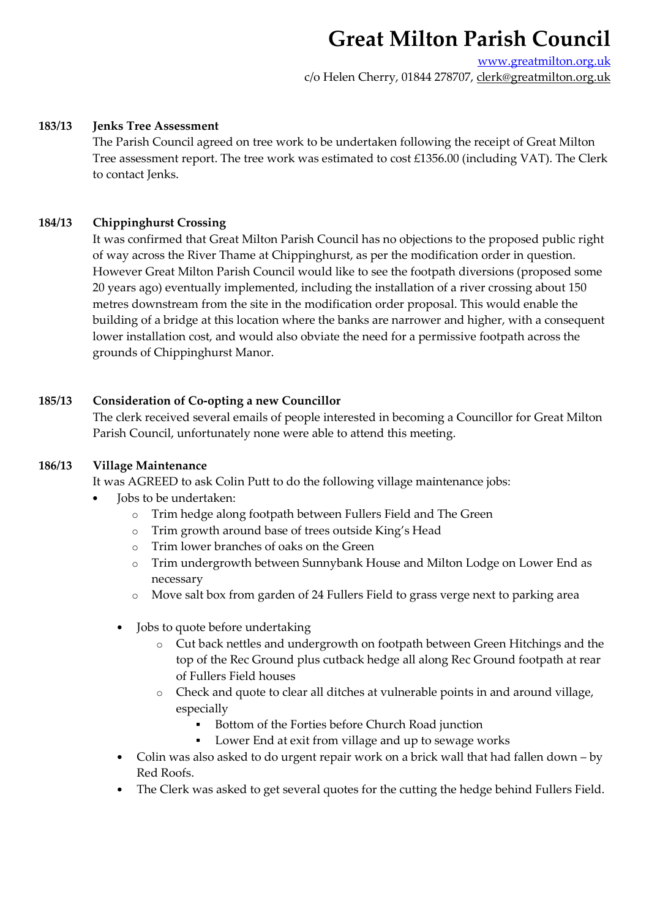www.greatmilton.org.uk c/o Helen Cherry, 01844 278707, clerk@greatmilton.org.uk

## **183/13 Jenks Tree Assessment**

The Parish Council agreed on tree work to be undertaken following the receipt of Great Milton Tree assessment report. The tree work was estimated to cost £1356.00 (including VAT). The Clerk to contact Jenks.

## **184/13 Chippinghurst Crossing**

It was confirmed that Great Milton Parish Council has no objections to the proposed public right of way across the River Thame at Chippinghurst, as per the modification order in question. However Great Milton Parish Council would like to see the footpath diversions (proposed some 20 years ago) eventually implemented, including the installation of a river crossing about 150 metres downstream from the site in the modification order proposal. This would enable the building of a bridge at this location where the banks are narrower and higher, with a consequent lower installation cost, and would also obviate the need for a permissive footpath across the grounds of Chippinghurst Manor.

## **185/13 Consideration of Co-opting a new Councillor**

 The clerk received several emails of people interested in becoming a Councillor for Great Milton Parish Council, unfortunately none were able to attend this meeting.

## **186/13 Village Maintenance**

It was AGREED to ask Colin Putt to do the following village maintenance jobs:

- Jobs to be undertaken:
	- o Trim hedge along footpath between Fullers Field and The Green
	- o Trim growth around base of trees outside King's Head
	- o Trim lower branches of oaks on the Green
	- o Trim undergrowth between Sunnybank House and Milton Lodge on Lower End as necessary
	- o Move salt box from garden of 24 Fullers Field to grass verge next to parking area
	- Jobs to quote before undertaking
		- o Cut back nettles and undergrowth on footpath between Green Hitchings and the top of the Rec Ground plus cutback hedge all along Rec Ground footpath at rear of Fullers Field houses
		- o Check and quote to clear all ditches at vulnerable points in and around village, especially
			- Bottom of the Forties before Church Road junction
			- Lower End at exit from village and up to sewage works
	- Colin was also asked to do urgent repair work on a brick wall that had fallen down by Red Roofs.
	- The Clerk was asked to get several quotes for the cutting the hedge behind Fullers Field.